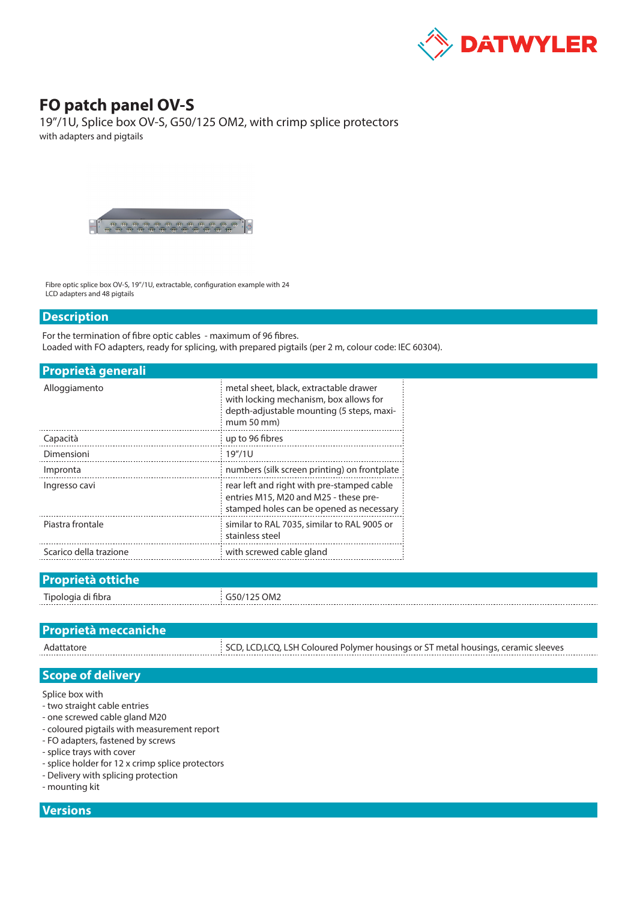

## **FO patch panel OV-S**

19"/1U, Splice box OV-S, G50/125 OM2, with crimp splice protectors with adapters and pigtails



Fibre optic splice box OV-S, 19"/1U, extractable, configuration example with 24 LCD adapters and 48 pigtails

## **Description**

For the termination of fibre optic cables - maximum of 96 fibres. Loaded with FO adapters, ready for splicing, with prepared pigtails (per 2 m, colour code: IEC 60304).

| <b>Proprietà generali</b> |                                                                                                                                            |  |  |  |  |
|---------------------------|--------------------------------------------------------------------------------------------------------------------------------------------|--|--|--|--|
| Alloggiamento             | metal sheet, black, extractable drawer<br>with locking mechanism, box allows for<br>depth-adjustable mounting (5 steps, maxi-<br>mum 50 mm |  |  |  |  |
| Capacità                  | up to 96 fibres                                                                                                                            |  |  |  |  |
| Dimensioni                | 19''/1U                                                                                                                                    |  |  |  |  |
| Impronta                  | numbers (silk screen printing) on frontplate                                                                                               |  |  |  |  |
| Ingresso cavi             | rear left and right with pre-stamped cable<br>entries M15, M20 and M25 - these pre-<br>stamped holes can be opened as necessary            |  |  |  |  |
| Piastra frontale          | similar to RAL 7035, similar to RAL 9005 or<br>stainless steel                                                                             |  |  |  |  |
| Scarico della trazione    | with screwed cable gland                                                                                                                   |  |  |  |  |
|                           |                                                                                                                                            |  |  |  |  |

| <b>Proprietà ottiche</b> |             |
|--------------------------|-------------|
| Tipologia di fibra       | G50/125 OM2 |

| <b>Proprietà meccaniche</b> |                                                                                    |
|-----------------------------|------------------------------------------------------------------------------------|
| Adattatore                  | SCD, LCD, LCQ, LSH Coloured Polymer housings or ST metal housings, ceramic sleeves |

## **Scope of delivery**

Splice box with

- two straight cable entries
- one screwed cable gland M20
- coloured pigtails with measurement report
- FO adapters, fastened by screws
- splice trays with cover
- splice holder for 12 x crimp splice protectors
- Delivery with splicing protection
- mounting kit

## **Versions**